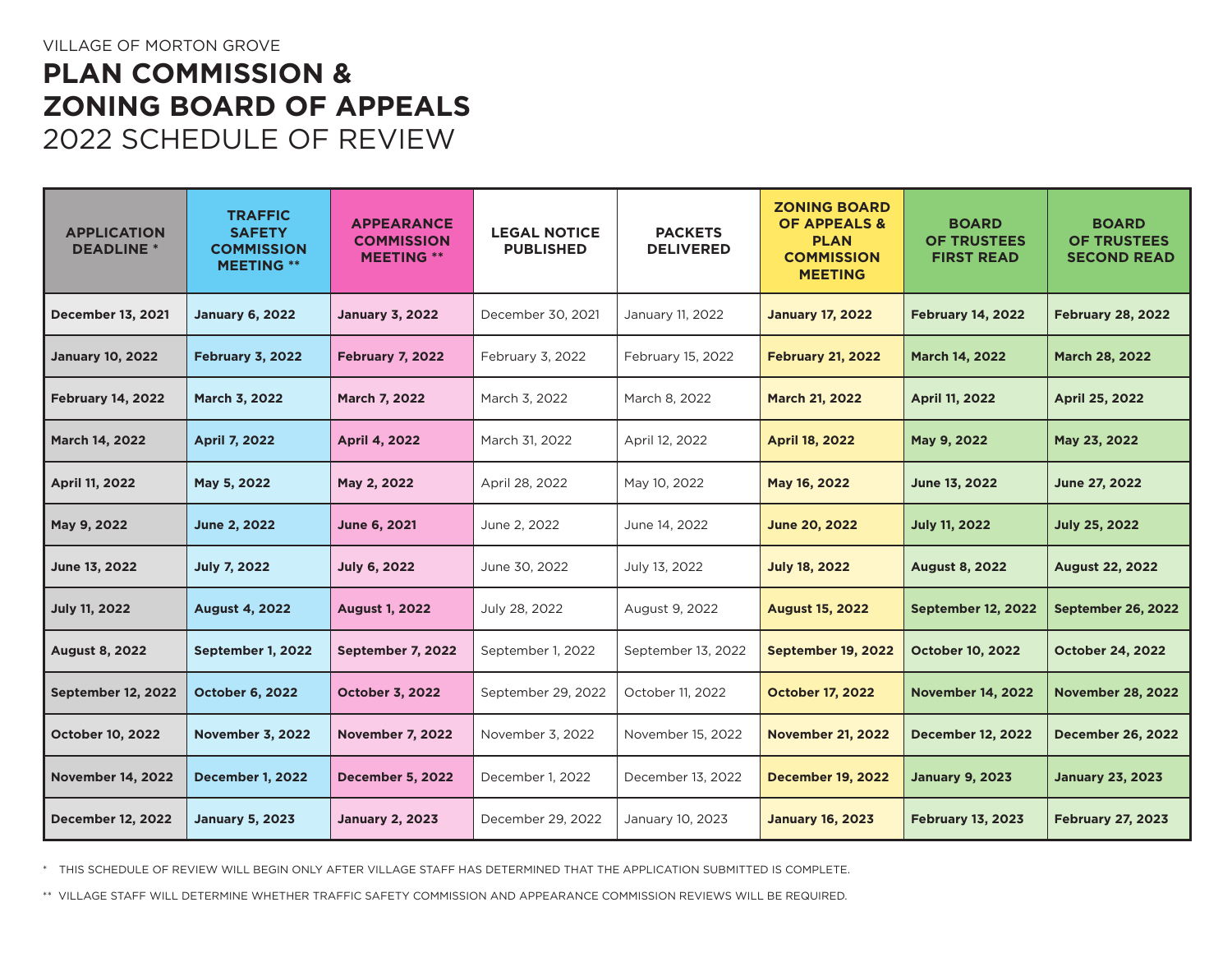## **PLAN COMMISSION & ZONING BOARD OF APPEALS** 2022 SCHEDULE OF REVIEW

| <b>APPLICATION</b><br><b>DEADLINE</b> * | <b>TRAFFIC</b><br><b>SAFETY</b><br><b>COMMISSION</b><br><b>MEETING **</b> | <b>APPEARANCE</b><br><b>COMMISSION</b><br><b>MEETING **</b> | <b>LEGAL NOTICE</b><br><b>PUBLISHED</b> | <b>PACKETS</b><br><b>DELIVERED</b> | <b>ZONING BOARD</b><br><b>OF APPEALS &amp;</b><br><b>PLAN</b><br><b>COMMISSION</b><br><b>MEETING</b> | <b>BOARD</b><br><b>OF TRUSTEES</b><br><b>FIRST READ</b> | <b>BOARD</b><br><b>OF TRUSTEES</b><br><b>SECOND READ</b> |
|-----------------------------------------|---------------------------------------------------------------------------|-------------------------------------------------------------|-----------------------------------------|------------------------------------|------------------------------------------------------------------------------------------------------|---------------------------------------------------------|----------------------------------------------------------|
| <b>December 13, 2021</b>                | <b>January 6, 2022</b>                                                    | <b>January 3, 2022</b>                                      | December 30, 2021                       | January 11, 2022                   | <b>January 17, 2022</b>                                                                              | <b>February 14, 2022</b>                                | <b>February 28, 2022</b>                                 |
| <b>January 10, 2022</b>                 | <b>February 3, 2022</b>                                                   | <b>February 7, 2022</b>                                     | February 3, 2022                        | February 15, 2022                  | <b>February 21, 2022</b>                                                                             | March 14, 2022                                          | March 28, 2022                                           |
| <b>February 14, 2022</b>                | March 3, 2022                                                             | <b>March 7, 2022</b>                                        | March 3, 2022                           | March 8, 2022                      | <b>March 21, 2022</b>                                                                                | <b>April 11, 2022</b>                                   | April 25, 2022                                           |
| <b>March 14, 2022</b>                   | <b>April 7, 2022</b>                                                      | <b>April 4, 2022</b>                                        | March 31, 2022                          | April 12, 2022                     | <b>April 18, 2022</b>                                                                                | May 9, 2022                                             | May 23, 2022                                             |
| April 11, 2022                          | May 5, 2022                                                               | May 2, 2022                                                 | April 28, 2022                          | May 10, 2022                       | May 16, 2022                                                                                         | June 13, 2022                                           | June 27, 2022                                            |
| May 9, 2022                             | June 2, 2022                                                              | June 6, 2021                                                | June 2, 2022                            | June 14, 2022                      | <b>June 20, 2022</b>                                                                                 | <b>July 11, 2022</b>                                    | <b>July 25, 2022</b>                                     |
| June 13, 2022                           | <b>July 7, 2022</b>                                                       | <b>July 6, 2022</b>                                         | June 30, 2022                           | July 13, 2022                      | <b>July 18, 2022</b>                                                                                 | <b>August 8, 2022</b>                                   | <b>August 22, 2022</b>                                   |
| July 11, 2022                           | <b>August 4, 2022</b>                                                     | <b>August 1, 2022</b>                                       | July 28, 2022                           | August 9, 2022                     | <b>August 15, 2022</b>                                                                               | <b>September 12, 2022</b>                               | September 26, 2022                                       |
| <b>August 8, 2022</b>                   | September 1, 2022                                                         | September 7, 2022                                           | September 1, 2022                       | September 13, 2022                 | <b>September 19, 2022</b>                                                                            | <b>October 10, 2022</b>                                 | <b>October 24, 2022</b>                                  |
| <b>September 12, 2022</b>               | <b>October 6, 2022</b>                                                    | <b>October 3, 2022</b>                                      | September 29, 2022                      | October 11, 2022                   | <b>October 17, 2022</b>                                                                              | <b>November 14, 2022</b>                                | <b>November 28, 2022</b>                                 |
| <b>October 10, 2022</b>                 | <b>November 3, 2022</b>                                                   | <b>November 7, 2022</b>                                     | November 3, 2022                        | November 15, 2022                  | <b>November 21, 2022</b>                                                                             | <b>December 12, 2022</b>                                | <b>December 26, 2022</b>                                 |
| <b>November 14, 2022</b>                | <b>December 1, 2022</b>                                                   | <b>December 5, 2022</b>                                     | December 1, 2022                        | December 13, 2022                  | <b>December 19, 2022</b>                                                                             | <b>January 9, 2023</b>                                  | <b>January 23, 2023</b>                                  |
| <b>December 12, 2022</b>                | <b>January 5, 2023</b>                                                    | <b>January 2, 2023</b>                                      | December 29, 2022                       | January 10, 2023                   | <b>January 16, 2023</b>                                                                              | <b>February 13, 2023</b>                                | <b>February 27, 2023</b>                                 |

\* THIS SCHEDULE OF REVIEW WILL BEGIN ONLY AFTER VILLAGE STAFF HAS DETERMINED THAT THE APPLICATION SUBMITTED IS COMPLETE.

\*\* VILLAGE STAFF WILL DETERMINE WHETHER TRAFFIC SAFETY COMMISSION AND APPEARANCE COMMISSION REVIEWS WILL BE REQUIRED.